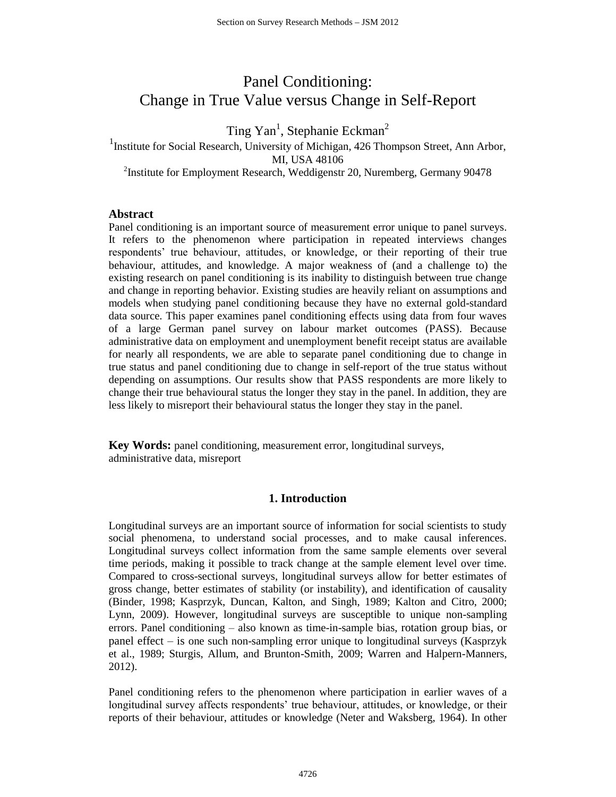# Panel Conditioning: Change in True Value versus Change in Self-Report

Ting Yan<sup>1</sup>, Stephanie Eckman<sup>2</sup>

<sup>1</sup>Institute for Social Research, University of Michigan, 426 Thompson Street, Ann Arbor, MI, USA 48106 <sup>2</sup>Institute for Employment Research, Weddigenstr 20, Nuremberg, Germany 90478

**Abstract**

Panel conditioning is an important source of measurement error unique to panel surveys. It refers to the phenomenon where participation in repeated interviews changes respondents' true behaviour, attitudes, or knowledge, or their reporting of their true behaviour, attitudes, and knowledge. A major weakness of (and a challenge to) the existing research on panel conditioning is its inability to distinguish between true change and change in reporting behavior. Existing studies are heavily reliant on assumptions and models when studying panel conditioning because they have no external gold-standard data source. This paper examines panel conditioning effects using data from four waves of a large German panel survey on labour market outcomes (PASS). Because administrative data on employment and unemployment benefit receipt status are available for nearly all respondents, we are able to separate panel conditioning due to change in true status and panel conditioning due to change in self-report of the true status without depending on assumptions. Our results show that PASS respondents are more likely to change their true behavioural status the longer they stay in the panel. In addition, they are less likely to misreport their behavioural status the longer they stay in the panel.

**Key Words:** panel conditioning, measurement error, longitudinal surveys, administrative data, misreport

## **1. Introduction**

Longitudinal surveys are an important source of information for social scientists to study social phenomena, to understand social processes, and to make causal inferences. Longitudinal surveys collect information from the same sample elements over several time periods, making it possible to track change at the sample element level over time. Compared to cross-sectional surveys, longitudinal surveys allow for better estimates of gross change, better estimates of stability (or instability), and identification of causality (Binder, 1998; Kasprzyk, Duncan, Kalton, and Singh, 1989; Kalton and Citro, 2000; Lynn, 2009). However, longitudinal surveys are susceptible to unique non-sampling errors. Panel conditioning – also known as time-in-sample bias, rotation group bias, or panel effect – is one such non-sampling error unique to longitudinal surveys (Kasprzyk et al., 1989; Sturgis, Allum, and Brunton-Smith, 2009; Warren and Halpern-Manners, 2012).

Panel conditioning refers to the phenomenon where participation in earlier waves of a longitudinal survey affects respondents' true behaviour, attitudes, or knowledge, or their reports of their behaviour, attitudes or knowledge (Neter and Waksberg, 1964). In other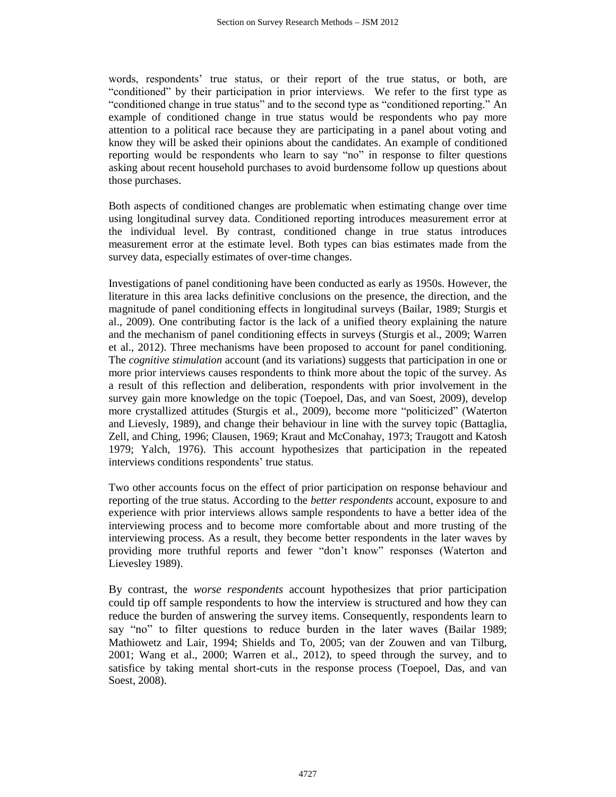words, respondents' true status, or their report of the true status, or both, are "conditioned" by their participation in prior interviews. We refer to the first type as "conditioned change in true status" and to the second type as "conditioned reporting." An example of conditioned change in true status would be respondents who pay more attention to a political race because they are participating in a panel about voting and know they will be asked their opinions about the candidates. An example of conditioned reporting would be respondents who learn to say "no" in response to filter questions asking about recent household purchases to avoid burdensome follow up questions about those purchases.

Both aspects of conditioned changes are problematic when estimating change over time using longitudinal survey data. Conditioned reporting introduces measurement error at the individual level. By contrast, conditioned change in true status introduces measurement error at the estimate level. Both types can bias estimates made from the survey data, especially estimates of over-time changes.

Investigations of panel conditioning have been conducted as early as 1950s. However, the literature in this area lacks definitive conclusions on the presence, the direction, and the magnitude of panel conditioning effects in longitudinal surveys (Bailar, 1989; Sturgis et al., 2009). One contributing factor is the lack of a unified theory explaining the nature and the mechanism of panel conditioning effects in surveys (Sturgis et al., 2009; Warren et al., 2012). Three mechanisms have been proposed to account for panel conditioning. The *cognitive stimulation* account (and its variations) suggests that participation in one or more prior interviews causes respondents to think more about the topic of the survey. As a result of this reflection and deliberation, respondents with prior involvement in the survey gain more knowledge on the topic (Toepoel, Das, and van Soest, 2009), develop more crystallized attitudes (Sturgis et al., 2009), become more "politicized" (Waterton and Lievesly, 1989), and change their behaviour in line with the survey topic (Battaglia, Zell, and Ching, 1996; Clausen, 1969; Kraut and McConahay, 1973; Traugott and Katosh 1979; Yalch, 1976). This account hypothesizes that participation in the repeated interviews conditions respondents' true status.

Two other accounts focus on the effect of prior participation on response behaviour and reporting of the true status. According to the *better respondents* account, exposure to and experience with prior interviews allows sample respondents to have a better idea of the interviewing process and to become more comfortable about and more trusting of the interviewing process. As a result, they become better respondents in the later waves by providing more truthful reports and fewer "don't know" responses (Waterton and Lievesley 1989).

By contrast, the *worse respondents* account hypothesizes that prior participation could tip off sample respondents to how the interview is structured and how they can reduce the burden of answering the survey items. Consequently, respondents learn to say "no" to filter questions to reduce burden in the later waves (Bailar 1989; Mathiowetz and Lair, 1994; Shields and To, 2005; van der Zouwen and van Tilburg, 2001; Wang et al., 2000; Warren et al., 2012), to speed through the survey, and to satisfice by taking mental short-cuts in the response process (Toepoel, Das, and van Soest, 2008).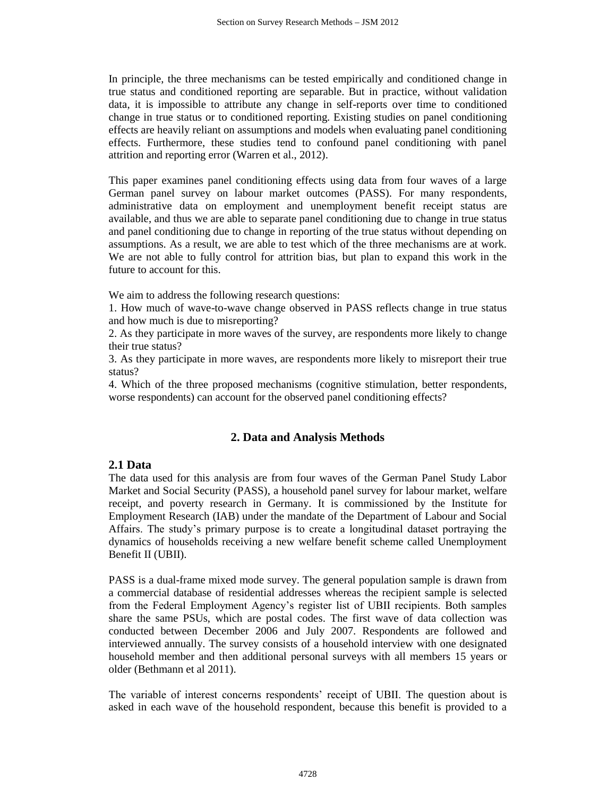In principle, the three mechanisms can be tested empirically and conditioned change in true status and conditioned reporting are separable. But in practice, without validation data, it is impossible to attribute any change in self-reports over time to conditioned change in true status or to conditioned reporting. Existing studies on panel conditioning effects are heavily reliant on assumptions and models when evaluating panel conditioning effects. Furthermore, these studies tend to confound panel conditioning with panel attrition and reporting error (Warren et al., 2012).

This paper examines panel conditioning effects using data from four waves of a large German panel survey on labour market outcomes (PASS). For many respondents, administrative data on employment and unemployment benefit receipt status are available, and thus we are able to separate panel conditioning due to change in true status and panel conditioning due to change in reporting of the true status without depending on assumptions. As a result, we are able to test which of the three mechanisms are at work. We are not able to fully control for attrition bias, but plan to expand this work in the future to account for this.

We aim to address the following research questions:

1. How much of wave-to-wave change observed in PASS reflects change in true status and how much is due to misreporting?

2. As they participate in more waves of the survey, are respondents more likely to change their true status?

3. As they participate in more waves, are respondents more likely to misreport their true status?

4. Which of the three proposed mechanisms (cognitive stimulation, better respondents, worse respondents) can account for the observed panel conditioning effects?

# **2. Data and Analysis Methods**

## **2.1 Data**

The data used for this analysis are from four waves of the German Panel Study Labor Market and Social Security (PASS), a household panel survey for labour market, welfare receipt, and poverty research in Germany. It is commissioned by the Institute for Employment Research (IAB) under the mandate of the Department of Labour and Social Affairs. The study's primary purpose is to create a longitudinal dataset portraying the dynamics of households receiving a new welfare benefit scheme called Unemployment Benefit II (UBII).

PASS is a dual-frame mixed mode survey. The general population sample is drawn from a commercial database of residential addresses whereas the recipient sample is selected from the Federal Employment Agency's register list of UBII recipients. Both samples share the same PSUs, which are postal codes. The first wave of data collection was conducted between December 2006 and July 2007. Respondents are followed and interviewed annually. The survey consists of a household interview with one designated household member and then additional personal surveys with all members 15 years or older (Bethmann et al 2011).

The variable of interest concerns respondents' receipt of UBII. The question about is asked in each wave of the household respondent, because this benefit is provided to a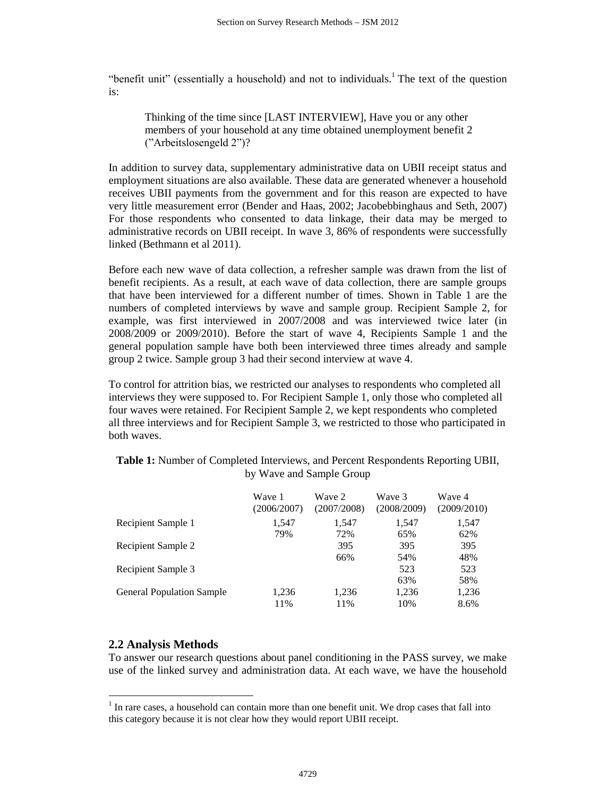"benefit unit" (essentially a household) and not to individuals.<sup>1</sup> The text of the question is:

Thinking of the time since [LAST INTERVIEW], Have you or any other members of your household at any time obtained unemployment benefit 2 ("Arbeitslosengeld 2")?

In addition to survey data, supplementary administrative data on UBII receipt status and employment situations are also available. These data are generated whenever a household receives UBII payments from the government and for this reason are expected to have very little measurement error (Bender and Haas, 2002; Jacobebbinghaus and Seth, 2007) For those respondents who consented to data linkage, their data may be merged to administrative records on UBII receipt. In wave 3, 86% of respondents were successfully linked (Bethmann et al 2011).

Before each new wave of data collection, a refresher sample was drawn from the list of benefit recipients. As a result, at each wave of data collection, there are sample groups that have been interviewed for a different number of times. Shown in Table 1 are the numbers of completed interviews by wave and sample group. Recipient Sample 2, for example, was first interviewed in 2007/2008 and was interviewed twice later (in 2008/2009 or 2009/2010). Before the start of wave 4, Recipients Sample 1 and the general population sample have both been interviewed three times already and sample group 2 twice. Sample group 3 had their second interview at wave 4.

To control for attrition bias, we restricted our analyses to respondents who completed all interviews they were supposed to. For Recipient Sample 1, only those who completed all four waves were retained. For Recipient Sample 2, we kept respondents who completed all three interviews and for Recipient Sample 3, we restricted to those who participated in both waves.

**Table 1:** Number of Completed Interviews, and Percent Respondents Reporting UBII, by Wave and Sample Group

|                                  | Wave 1<br>(2006/2007) | Wave 2<br>(2007/2008) | Wave 3<br>(2008/2009) | Wave 4<br>(2009/2010) |
|----------------------------------|-----------------------|-----------------------|-----------------------|-----------------------|
| Recipient Sample 1               | 1,547                 | 1,547                 | 1,547                 | 1,547                 |
|                                  | 79%                   | 72%                   | 65%                   | 62%                   |
| Recipient Sample 2               |                       | 395                   | 395                   | 395                   |
|                                  |                       | 66%                   | 54%                   | 48%                   |
| Recipient Sample 3               |                       |                       | 523                   | 523                   |
|                                  |                       |                       | 63%                   | 58%                   |
| <b>General Population Sample</b> | 1,236                 | 1,236                 | 1,236                 | 1,236                 |
|                                  | 11%                   | 11%                   | 10%                   | 8.6%                  |

# **2.2 Analysis Methods**

 $\overline{a}$ 

To answer our research questions about panel conditioning in the PASS survey, we make use of the linked survey and administration data. At each wave, we have the household

 $<sup>1</sup>$  In rare cases, a household can contain more than one benefit unit. We drop cases that fall into</sup> this category because it is not clear how they would report UBII receipt.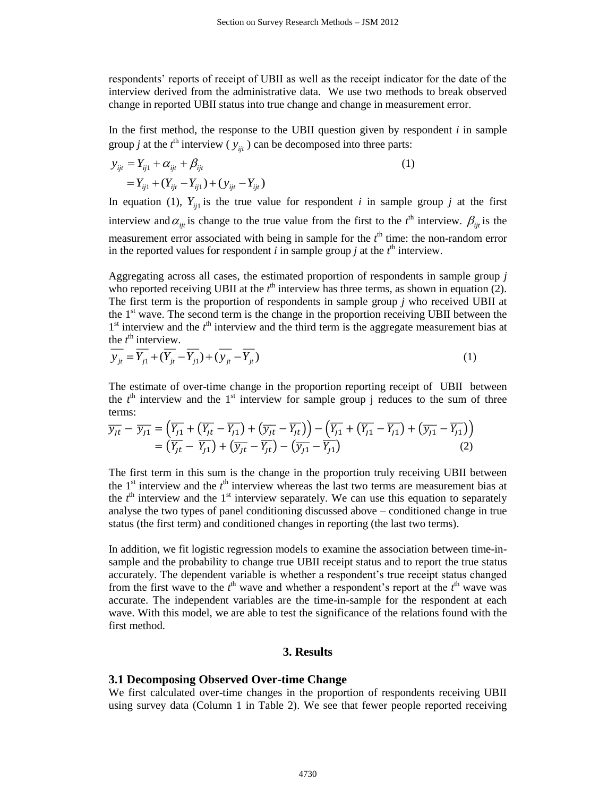respondents' reports of receipt of UBII as well as the receipt indicator for the date of the interview derived from the administrative data. We use two methods to break observed change in reported UBII status into true change and change in measurement error.

In the first method, the response to the UBII question given by respondent  $i$  in sample group *j* at the  $t^{\text{th}}$  interview ( $y_{ijt}$ ) can be decomposed into three parts:

$$
y_{ijt} = Y_{ij1} + \alpha_{ijt} + \beta_{ijt}
$$
  
=  $Y_{ij1} + (Y_{ijt} - Y_{ij1}) + (y_{ijt} - Y_{ijt})$  (1)

In equation (1),  $Y_{ij}$  is the true value for respondent *i* in sample group *j* at the first interview and  $\alpha_{ijt}$  is change to the true value from the first to the *t*<sup>th</sup> interview.  $\beta_{ijt}$  is the measurement error associated with being in sample for the  $t<sup>th</sup>$  time: the non-random error in the reported values for respondent *i* in sample group *j* at the  $t^{\text{th}}$  interview.

Aggregating across all cases, the estimated proportion of respondents in sample group *j*  who reported receiving UBII at the  $t<sup>th</sup>$  interview has three terms, as shown in equation (2). The first term is the proportion of respondents in sample group *j* who received UBII at the  $1<sup>st</sup>$  wave. The second term is the change in the proportion receiving UBII between the  $1<sup>st</sup>$  interview and the  $t<sup>th</sup>$  interview and the third term is the aggregate measurement bias at the  $t^{\text{th}}$  interview.

$$
\overline{y_{ji}} = \overline{Y_{j1}} + (\overline{Y_{ji}} - \overline{Y_{j1}}) + (\overline{y_{ji}} - \overline{Y_{j1}}) \tag{1}
$$

The estimate of over-time change in the proportion reporting receipt of UBII between the  $t<sup>th</sup>$  interview and the 1<sup>st</sup> interview for sample group j reduces to the sum of three terms:

$$
\overline{y_{jt}} - \overline{y_{j1}} = \left(\overline{Y_{j1}} + \left(\overline{Y_{jt}} - \overline{Y_{j1}}\right) + \left(\overline{y_{jt}} - \overline{Y_{jt}}\right)\right) - \left(\overline{Y_{j1}} + \left(\overline{Y_{j1}} - \overline{Y_{j1}}\right) + \left(\overline{y_{j1}} - \overline{Y_{j1}}\right)\right)
$$
\n
$$
= \left(\overline{Y_{jt}} - \overline{Y_{j1}}\right) + \left(\overline{y_{jt}} - \overline{Y_{jt}}\right) - \left(\overline{y_{j1}} - \overline{Y_{j1}}\right) \tag{2}
$$

The first term in this sum is the change in the proportion truly receiving UBII between the  $1<sup>st</sup>$  interview and the  $t<sup>th</sup>$  interview whereas the last two terms are measurement bias at the  $t<sup>th</sup>$  interview and the 1<sup>st</sup> interview separately. We can use this equation to separately analyse the two types of panel conditioning discussed above – conditioned change in true status (the first term) and conditioned changes in reporting (the last two terms).

In addition, we fit logistic regression models to examine the association between time-insample and the probability to change true UBII receipt status and to report the true status accurately. The dependent variable is whether a respondent's true receipt status changed from the first wave to the  $t<sup>th</sup>$  wave and whether a respondent's report at the  $t<sup>th</sup>$  wave was accurate. The independent variables are the time-in-sample for the respondent at each wave. With this model, we are able to test the significance of the relations found with the first method.

#### **3. Results**

#### **3.1 Decomposing Observed Over-time Change**

We first calculated over-time changes in the proportion of respondents receiving UBII using survey data (Column 1 in Table 2). We see that fewer people reported receiving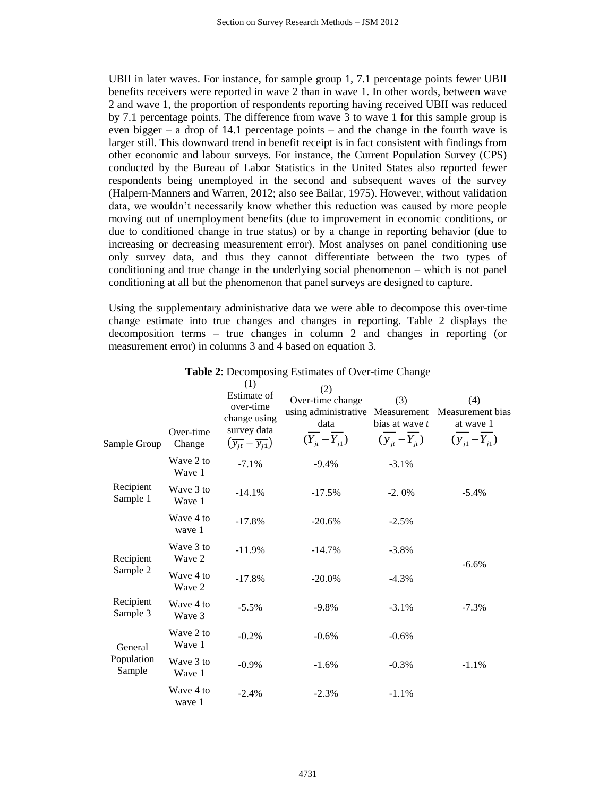UBII in later waves. For instance, for sample group 1, 7.1 percentage points fewer UBII benefits receivers were reported in wave 2 than in wave 1. In other words, between wave 2 and wave 1, the proportion of respondents reporting having received UBII was reduced by 7.1 percentage points. The difference from wave 3 to wave 1 for this sample group is even bigger – a drop of 14.1 percentage points – and the change in the fourth wave is larger still. This downward trend in benefit receipt is in fact consistent with findings from other economic and labour surveys. For instance, the Current Population Survey (CPS) conducted by the Bureau of Labor Statistics in the United States also reported fewer respondents being unemployed in the second and subsequent waves of the survey (Halpern-Manners and Warren, 2012; also see Bailar, 1975). However, without validation data, we wouldn't necessarily know whether this reduction was caused by more people moving out of unemployment benefits (due to improvement in economic conditions, or due to conditioned change in true status) or by a change in reporting behavior (due to increasing or decreasing measurement error). Most analyses on panel conditioning use only survey data, and thus they cannot differentiate between the two types of conditioning and true change in the underlying social phenomenon – which is not panel conditioning at all but the phenomenon that panel surveys are designed to capture.

Using the supplementary administrative data we were able to decompose this over-time change estimate into true changes and changes in reporting. Table 2 displays the decomposition terms – true changes in column 2 and changes in reporting (or measurement error) in columns 3 and 4 based on equation 3.

|                       | Over-time           | (1)<br>Estimate of<br>over-time<br>change using<br>survey data | (2)<br>Over-time change<br>using administrative Measurement<br>data<br>$(Y_{it} - Y_{i1})$ | (3)<br>bias at wave t<br>$(y_{it} - Y_{it})$ | (4)<br>Measurement bias<br>at wave 1<br>$(y_{i1} - Y_{i1})$ |
|-----------------------|---------------------|----------------------------------------------------------------|--------------------------------------------------------------------------------------------|----------------------------------------------|-------------------------------------------------------------|
| Sample Group          | Change              | $\left(\overline{y_{1t}} - \overline{y_{11}}\right)$           |                                                                                            |                                              |                                                             |
|                       | Wave 2 to<br>Wave 1 | $-7.1%$                                                        | $-9.4%$                                                                                    | $-3.1%$                                      |                                                             |
| Recipient<br>Sample 1 | Wave 3 to<br>Wave 1 | $-14.1%$                                                       | $-17.5%$                                                                                   | $-2.0%$                                      | $-5.4%$                                                     |
|                       | Wave 4 to<br>wave 1 | $-17.8%$                                                       | $-20.6%$                                                                                   | $-2.5%$                                      |                                                             |
| Recipient             | Wave 3 to<br>Wave 2 | $-11.9%$                                                       | $-14.7%$                                                                                   | $-3.8%$                                      | $-6.6%$                                                     |
| Sample 2              | Wave 4 to<br>Wave 2 | $-17.8%$                                                       | $-20.0\%$                                                                                  | $-4.3%$                                      |                                                             |
| Recipient<br>Sample 3 | Wave 4 to<br>Wave 3 | $-5.5%$                                                        | $-9.8%$                                                                                    | $-3.1%$                                      | $-7.3%$                                                     |
| General               | Wave 2 to<br>Wave 1 | $-0.2\%$                                                       | $-0.6%$                                                                                    | $-0.6%$                                      |                                                             |
| Population<br>Sample  | Wave 3 to<br>Wave 1 | $-0.9\%$                                                       | $-1.6%$                                                                                    | $-0.3%$                                      | $-1.1%$                                                     |
|                       | Wave 4 to<br>wave 1 | $-2.4%$                                                        | $-2.3%$                                                                                    | $-1.1%$                                      |                                                             |

#### **Table 2**: Decomposing Estimates of Over-time Change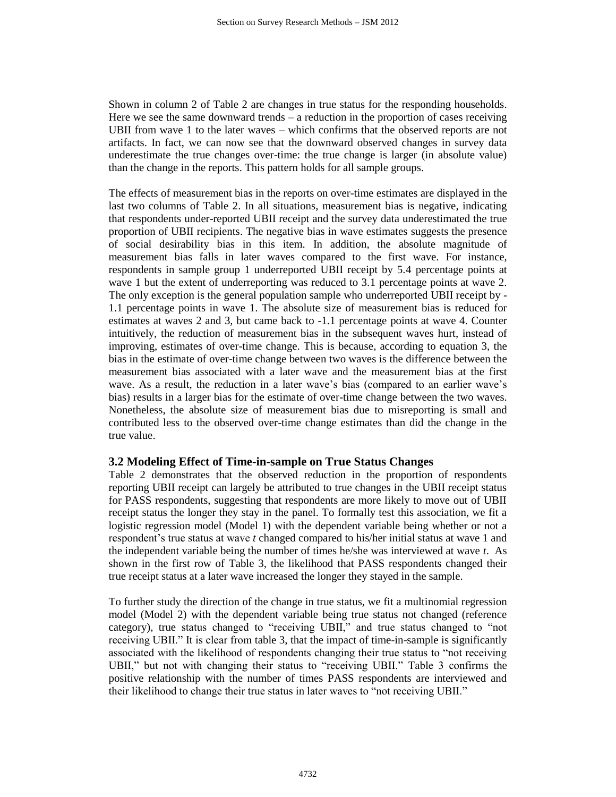Shown in column 2 of Table 2 are changes in true status for the responding households. Here we see the same downward trends – a reduction in the proportion of cases receiving UBII from wave 1 to the later waves – which confirms that the observed reports are not artifacts. In fact, we can now see that the downward observed changes in survey data underestimate the true changes over-time: the true change is larger (in absolute value) than the change in the reports. This pattern holds for all sample groups.

The effects of measurement bias in the reports on over-time estimates are displayed in the last two columns of Table 2. In all situations, measurement bias is negative, indicating that respondents under-reported UBII receipt and the survey data underestimated the true proportion of UBII recipients. The negative bias in wave estimates suggests the presence of social desirability bias in this item. In addition, the absolute magnitude of measurement bias falls in later waves compared to the first wave. For instance, respondents in sample group 1 underreported UBII receipt by 5.4 percentage points at wave 1 but the extent of underreporting was reduced to 3.1 percentage points at wave 2. The only exception is the general population sample who underreported UBII receipt by - 1.1 percentage points in wave 1. The absolute size of measurement bias is reduced for estimates at waves 2 and 3, but came back to -1.1 percentage points at wave 4. Counter intuitively, the reduction of measurement bias in the subsequent waves hurt, instead of improving, estimates of over-time change. This is because, according to equation 3, the bias in the estimate of over-time change between two waves is the difference between the measurement bias associated with a later wave and the measurement bias at the first wave. As a result, the reduction in a later wave's bias (compared to an earlier wave's bias) results in a larger bias for the estimate of over-time change between the two waves. Nonetheless, the absolute size of measurement bias due to misreporting is small and contributed less to the observed over-time change estimates than did the change in the true value.

## **3.2 Modeling Effect of Time-in-sample on True Status Changes**

Table 2 demonstrates that the observed reduction in the proportion of respondents reporting UBII receipt can largely be attributed to true changes in the UBII receipt status for PASS respondents, suggesting that respondents are more likely to move out of UBII receipt status the longer they stay in the panel. To formally test this association, we fit a logistic regression model (Model 1) with the dependent variable being whether or not a respondent's true status at wave *t* changed compared to his/her initial status at wave 1 and the independent variable being the number of times he/she was interviewed at wave *t*. As shown in the first row of Table 3, the likelihood that PASS respondents changed their true receipt status at a later wave increased the longer they stayed in the sample.

To further study the direction of the change in true status, we fit a multinomial regression model (Model 2) with the dependent variable being true status not changed (reference category), true status changed to "receiving UBII," and true status changed to "not receiving UBII." It is clear from table 3, that the impact of time-in-sample is significantly associated with the likelihood of respondents changing their true status to "not receiving UBII," but not with changing their status to "receiving UBII." Table 3 confirms the positive relationship with the number of times PASS respondents are interviewed and their likelihood to change their true status in later waves to "not receiving UBII."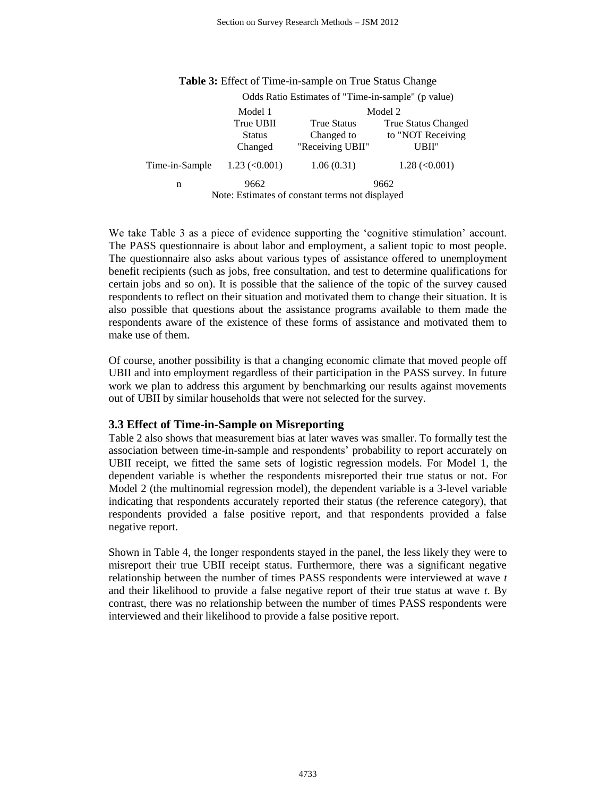|                                                 | Odds Ratio Estimates of "Time-in-sample" (p value) |                    |                             |  |  |
|-------------------------------------------------|----------------------------------------------------|--------------------|-----------------------------|--|--|
|                                                 | Model 1                                            | Model 2            |                             |  |  |
|                                                 | True UBII                                          | <b>True Status</b> | <b>True Status Changed</b>  |  |  |
|                                                 | <b>Status</b>                                      | Changed to         | to "NOT Receiving           |  |  |
|                                                 | Changed                                            | "Receiving UBII"   | UBII"                       |  |  |
| Time-in-Sample                                  | $1.23 \approx (0.001)$                             | 1.06(0.31)         | $1.28 \, \textless\, 0.001$ |  |  |
| n                                               | 9662                                               | 9662               |                             |  |  |
| Note: Estimates of constant terms not displayed |                                                    |                    |                             |  |  |

**Table 3:** Effect of Time-in-sample on True Status Change

We take Table 3 as a piece of evidence supporting the 'cognitive stimulation' account. The PASS questionnaire is about labor and employment, a salient topic to most people. The questionnaire also asks about various types of assistance offered to unemployment benefit recipients (such as jobs, free consultation, and test to determine qualifications for certain jobs and so on). It is possible that the salience of the topic of the survey caused respondents to reflect on their situation and motivated them to change their situation. It is also possible that questions about the assistance programs available to them made the respondents aware of the existence of these forms of assistance and motivated them to make use of them.

Of course, another possibility is that a changing economic climate that moved people off UBII and into employment regardless of their participation in the PASS survey. In future work we plan to address this argument by benchmarking our results against movements out of UBII by similar households that were not selected for the survey.

#### **3.3 Effect of Time-in-Sample on Misreporting**

Table 2 also shows that measurement bias at later waves was smaller. To formally test the association between time-in-sample and respondents' probability to report accurately on UBII receipt, we fitted the same sets of logistic regression models. For Model 1, the dependent variable is whether the respondents misreported their true status or not. For Model 2 (the multinomial regression model), the dependent variable is a 3-level variable indicating that respondents accurately reported their status (the reference category), that respondents provided a false positive report, and that respondents provided a false negative report.

Shown in Table 4, the longer respondents stayed in the panel, the less likely they were to misreport their true UBII receipt status. Furthermore, there was a significant negative relationship between the number of times PASS respondents were interviewed at wave *t*  and their likelihood to provide a false negative report of their true status at wave *t*. By contrast, there was no relationship between the number of times PASS respondents were interviewed and their likelihood to provide a false positive report.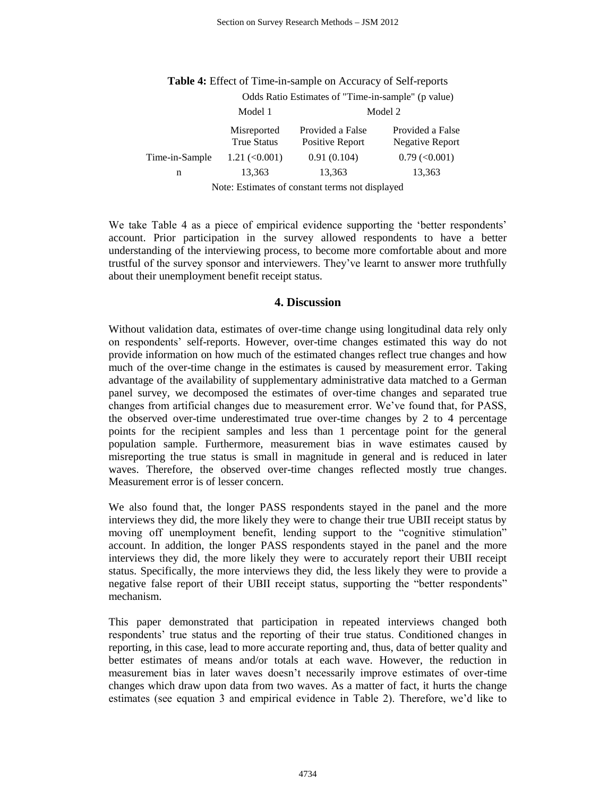|                                                 | Odds Ratio Estimates of "Time-in-sample" (p value) |                                     |                                     |  |
|-------------------------------------------------|----------------------------------------------------|-------------------------------------|-------------------------------------|--|
|                                                 | Model 1                                            | Model 2                             |                                     |  |
|                                                 | Misreported<br><b>True Status</b>                  | Provided a False<br>Positive Report | Provided a False<br>Negative Report |  |
| Time-in-Sample                                  | $1.21 \approx 0.001$                               | 0.91(0.104)                         | $0.79 \, (\leq 0.001)$              |  |
| n                                               | 13,363                                             | 13,363                              | 13,363                              |  |
| Note: Estimates of constant terms not displayed |                                                    |                                     |                                     |  |

**Table 4:** Effect of Time-in-sample on Accuracy of Self-reports

We take Table 4 as a piece of empirical evidence supporting the 'better respondents' account. Prior participation in the survey allowed respondents to have a better understanding of the interviewing process, to become more comfortable about and more trustful of the survey sponsor and interviewers. They've learnt to answer more truthfully about their unemployment benefit receipt status.

#### **4. Discussion**

Without validation data, estimates of over-time change using longitudinal data rely only on respondents' self-reports. However, over-time changes estimated this way do not provide information on how much of the estimated changes reflect true changes and how much of the over-time change in the estimates is caused by measurement error. Taking advantage of the availability of supplementary administrative data matched to a German panel survey, we decomposed the estimates of over-time changes and separated true changes from artificial changes due to measurement error. We've found that, for PASS, the observed over-time underestimated true over-time changes by 2 to 4 percentage points for the recipient samples and less than 1 percentage point for the general population sample. Furthermore, measurement bias in wave estimates caused by misreporting the true status is small in magnitude in general and is reduced in later waves. Therefore, the observed over-time changes reflected mostly true changes. Measurement error is of lesser concern.

We also found that, the longer PASS respondents stayed in the panel and the more interviews they did, the more likely they were to change their true UBII receipt status by moving off unemployment benefit, lending support to the "cognitive stimulation" account. In addition, the longer PASS respondents stayed in the panel and the more interviews they did, the more likely they were to accurately report their UBII receipt status. Specifically, the more interviews they did, the less likely they were to provide a negative false report of their UBII receipt status, supporting the "better respondents" mechanism.

This paper demonstrated that participation in repeated interviews changed both respondents' true status and the reporting of their true status. Conditioned changes in reporting, in this case, lead to more accurate reporting and, thus, data of better quality and better estimates of means and/or totals at each wave. However, the reduction in measurement bias in later waves doesn't necessarily improve estimates of over-time changes which draw upon data from two waves. As a matter of fact, it hurts the change estimates (see equation 3 and empirical evidence in Table 2). Therefore, we'd like to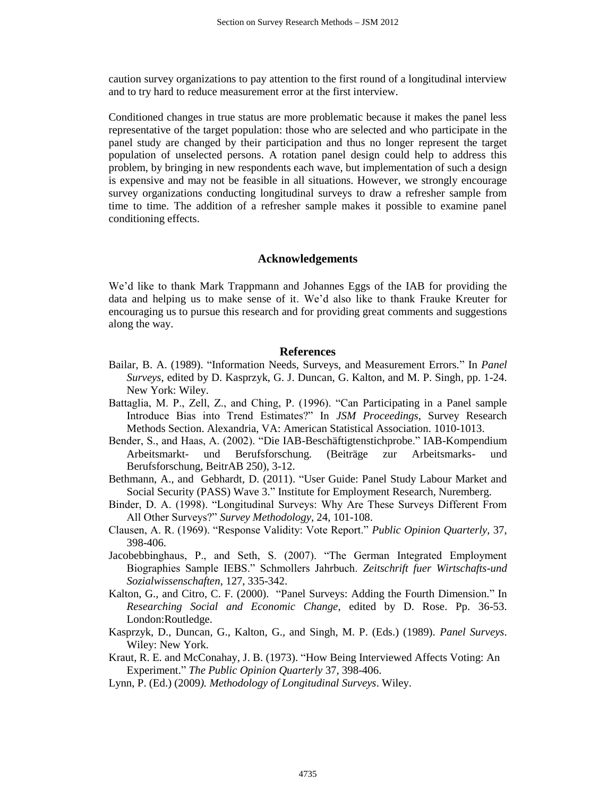caution survey organizations to pay attention to the first round of a longitudinal interview and to try hard to reduce measurement error at the first interview.

Conditioned changes in true status are more problematic because it makes the panel less representative of the target population: those who are selected and who participate in the panel study are changed by their participation and thus no longer represent the target population of unselected persons. A rotation panel design could help to address this problem, by bringing in new respondents each wave, but implementation of such a design is expensive and may not be feasible in all situations. However, we strongly encourage survey organizations conducting longitudinal surveys to draw a refresher sample from time to time. The addition of a refresher sample makes it possible to examine panel conditioning effects.

#### **Acknowledgements**

We'd like to thank Mark Trappmann and Johannes Eggs of the IAB for providing the data and helping us to make sense of it. We'd also like to thank Frauke Kreuter for encouraging us to pursue this research and for providing great comments and suggestions along the way.

#### **References**

- Bailar, B. A. (1989). "Information Needs, Surveys, and Measurement Errors." In *Panel Surveys*, edited by D. Kasprzyk, G. J. Duncan, G. Kalton, and M. P. Singh, pp. 1-24. New York: Wiley.
- Battaglia, M. P., Zell, Z., and Ching, P. (1996). "Can Participating in a Panel sample Introduce Bias into Trend Estimates?" In *JSM Proceedings*, Survey Research Methods Section. Alexandria, VA: American Statistical Association. 1010-1013.
- Bender, S., and Haas, A. (2002). "Die IAB-Beschäftigtenstichprobe." IAB-Kompendium Arbeitsmarkt- und Berufsforschung. (Beiträge zur Arbeitsmarks- und Berufsforschung, BeitrAB 250), 3-12.
- Bethmann, A., and Gebhardt, D. (2011). "User Guide: Panel Study Labour Market and Social Security (PASS) Wave 3." Institute for Employment Research, Nuremberg.
- Binder, D. A. (1998). "Longitudinal Surveys: Why Are These Surveys Different From All Other Surveys?" *Survey Methodology*, 24, 101-108.
- Clausen, A. R. (1969). "Response Validity: Vote Report." *Public Opinion Quarterly*, 37, 398-406.
- Jacobebbinghaus, P., and Seth, S. (2007). "The German Integrated Employment Biographies Sample IEBS." Schmollers Jahrbuch. *Zeitschrift fuer Wirtschafts-und Sozialwissenschaften*, 127, 335-342.
- Kalton, G., and Citro, C. F. (2000). "Panel Surveys: Adding the Fourth Dimension." In *Researching Social and Economic Change*, edited by D. Rose. Pp. 36-53. London:Routledge.
- Kasprzyk, D., Duncan, G., Kalton, G., and Singh, M. P. (Eds.) (1989). *Panel Surveys*. Wiley: New York.
- Kraut, R. E. and McConahay, J. B. (1973). "How Being Interviewed Affects Voting: An Experiment." *The Public Opinion Quarterly* 37, 398-406.
- Lynn, P. (Ed.) (2009*). Methodology of Longitudinal Surveys*. Wiley.